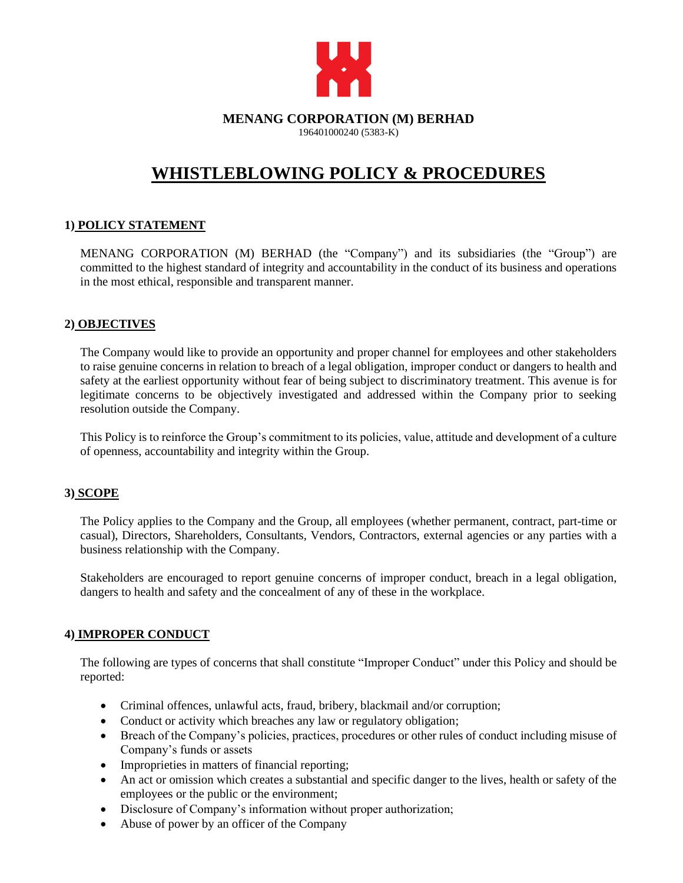

## **MENANG CORPORATION (M) BERHAD**

196401000240 (5383-K)

# **WHISTLEBLOWING POLICY & PROCEDURES**

### **1) POLICY STATEMENT**

MENANG CORPORATION (M) BERHAD (the "Company") and its subsidiaries (the "Group") are committed to the highest standard of integrity and accountability in the conduct of its business and operations in the most ethical, responsible and transparent manner.

#### **2) OBJECTIVES**

The Company would like to provide an opportunity and proper channel for employees and other stakeholders to raise genuine concerns in relation to breach of a legal obligation, improper conduct or dangers to health and safety at the earliest opportunity without fear of being subject to discriminatory treatment. This avenue is for legitimate concerns to be objectively investigated and addressed within the Company prior to seeking resolution outside the Company.

This Policy is to reinforce the Group's commitment to its policies, value, attitude and development of a culture of openness, accountability and integrity within the Group.

### **3) SCOPE**

The Policy applies to the Company and the Group, all employees (whether permanent, contract, part-time or casual), Directors, Shareholders, Consultants, Vendors, Contractors, external agencies or any parties with a business relationship with the Company.

Stakeholders are encouraged to report genuine concerns of improper conduct, breach in a legal obligation, dangers to health and safety and the concealment of any of these in the workplace.

### **4) IMPROPER CONDUCT**

The following are types of concerns that shall constitute "Improper Conduct" under this Policy and should be reported:

- Criminal offences, unlawful acts, fraud, bribery, blackmail and/or corruption;
- Conduct or activity which breaches any law or regulatory obligation;
- Breach of the Company's policies, practices, procedures or other rules of conduct including misuse of Company's funds or assets
- Improprieties in matters of financial reporting;
- An act or omission which creates a substantial and specific danger to the lives, health or safety of the employees or the public or the environment;
- Disclosure of Company's information without proper authorization;
- Abuse of power by an officer of the Company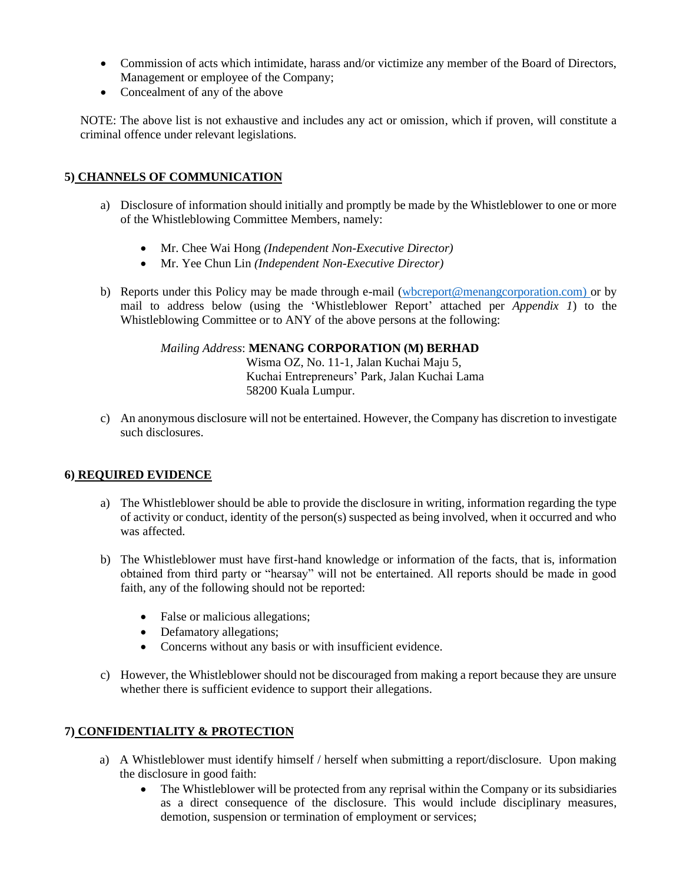- Commission of acts which intimidate, harass and/or victimize any member of the Board of Directors, Management or employee of the Company;
- Concealment of any of the above

NOTE: The above list is not exhaustive and includes any act or omission, which if proven, will constitute a criminal offence under relevant legislations.

### **5) CHANNELS OF COMMUNICATION**

- a) Disclosure of information should initially and promptly be made by the Whistleblower to one or more of the Whistleblowing Committee Members, namely:
	- Mr. Chee Wai Hong *(Independent Non-Executive Director)*
	- Mr. Yee Chun Lin *(Independent Non-Executive Director)*
- b) Reports under this Policy may be made through e-mail [\(wbcreport@menangcorporation.com\)](mailto:wbcreport@menangcorporation.com) or by mail to address below (using the 'Whistleblower Report' attached per *Appendix 1*) to the Whistleblowing Committee or to ANY of the above persons at the following:

#### *Mailing Address*: **MENANG CORPORATION (M) BERHAD**

Wisma OZ, No. 11-1, Jalan Kuchai Maju 5, Kuchai Entrepreneurs' Park, Jalan Kuchai Lama 58200 Kuala Lumpur.

c) An anonymous disclosure will not be entertained. However, the Company has discretion to investigate such disclosures.

#### **6) REQUIRED EVIDENCE**

- a) The Whistleblower should be able to provide the disclosure in writing, information regarding the type of activity or conduct, identity of the person(s) suspected as being involved, when it occurred and who was affected.
- b) The Whistleblower must have first-hand knowledge or information of the facts, that is, information obtained from third party or "hearsay" will not be entertained. All reports should be made in good faith, any of the following should not be reported:
	- False or malicious allegations;
	- Defamatory allegations;
	- Concerns without any basis or with insufficient evidence.
- c) However, the Whistleblower should not be discouraged from making a report because they are unsure whether there is sufficient evidence to support their allegations.

#### **7) CONFIDENTIALITY & PROTECTION**

- a) A Whistleblower must identify himself / herself when submitting a report/disclosure. Upon making the disclosure in good faith:
	- The Whistleblower will be protected from any reprisal within the Company or its subsidiaries as a direct consequence of the disclosure. This would include disciplinary measures, demotion, suspension or termination of employment or services;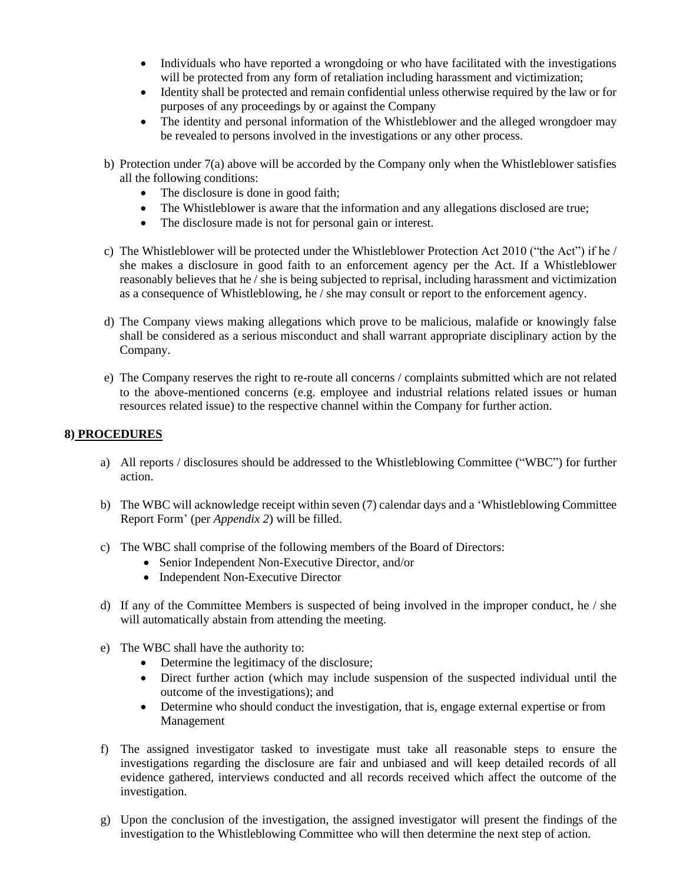- Individuals who have reported a wrongdoing or who have facilitated with the investigations will be protected from any form of retaliation including harassment and victimization;
- Identity shall be protected and remain confidential unless otherwise required by the law or for purposes of any proceedings by or against the Company
- The identity and personal information of the Whistleblower and the alleged wrongdoer may be revealed to persons involved in the investigations or any other process.
- b) Protection under 7(a) above will be accorded by the Company only when the Whistleblower satisfies all the following conditions:
	- The disclosure is done in good faith;
	- The Whistleblower is aware that the information and any allegations disclosed are true;
	- The disclosure made is not for personal gain or interest.
- c) The Whistleblower will be protected under the Whistleblower Protection Act 2010 ("the Act") if he / she makes a disclosure in good faith to an enforcement agency per the Act. If a Whistleblower reasonably believes that he / she is being subjected to reprisal, including harassment and victimization as a consequence of Whistleblowing, he / she may consult or report to the enforcement agency.
- d) The Company views making allegations which prove to be malicious, malafide or knowingly false shall be considered as a serious misconduct and shall warrant appropriate disciplinary action by the Company.
- e) The Company reserves the right to re-route all concerns / complaints submitted which are not related to the above-mentioned concerns (e.g. employee and industrial relations related issues or human resources related issue) to the respective channel within the Company for further action.

#### **8) PROCEDURES**

- a) All reports / disclosures should be addressed to the Whistleblowing Committee ("WBC") for further action.
- b) The WBC will acknowledge receipt within seven (7) calendar days and a 'Whistleblowing Committee Report Form' (per *Appendix 2*) will be filled.
- c) The WBC shall comprise of the following members of the Board of Directors:
	- Senior Independent Non-Executive Director, and/or
	- Independent Non-Executive Director
- d) If any of the Committee Members is suspected of being involved in the improper conduct, he  $/$  she will automatically abstain from attending the meeting.
- e) The WBC shall have the authority to:
	- Determine the legitimacy of the disclosure;
	- Direct further action (which may include suspension of the suspected individual until the outcome of the investigations); and
	- Determine who should conduct the investigation, that is, engage external expertise or from Management
- f) The assigned investigator tasked to investigate must take all reasonable steps to ensure the investigations regarding the disclosure are fair and unbiased and will keep detailed records of all evidence gathered, interviews conducted and all records received which affect the outcome of the investigation.
- g) Upon the conclusion of the investigation, the assigned investigator will present the findings of the investigation to the Whistleblowing Committee who will then determine the next step of action.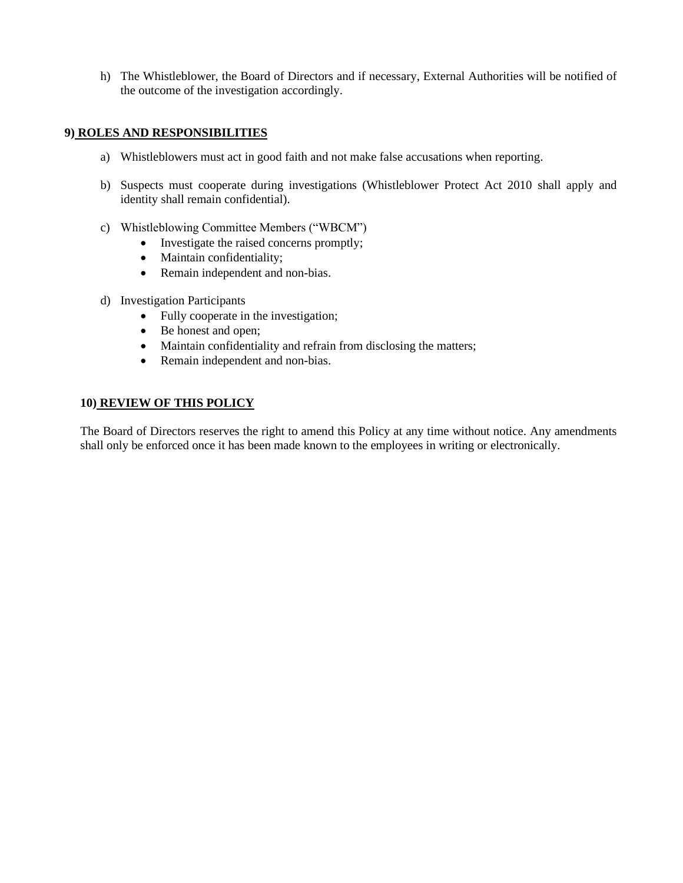h) The Whistleblower, the Board of Directors and if necessary, External Authorities will be notified of the outcome of the investigation accordingly.

#### **9) ROLES AND RESPONSIBILITIES**

- a) Whistleblowers must act in good faith and not make false accusations when reporting.
- b) Suspects must cooperate during investigations (Whistleblower Protect Act 2010 shall apply and identity shall remain confidential).
- c) Whistleblowing Committee Members ("WBCM")
	- Investigate the raised concerns promptly;
	- Maintain confidentiality;
	- Remain independent and non-bias.
- d) Investigation Participants
	- Fully cooperate in the investigation;
	- Be honest and open;
	- Maintain confidentiality and refrain from disclosing the matters;
	- Remain independent and non-bias.

#### **10) REVIEW OF THIS POLICY**

The Board of Directors reserves the right to amend this Policy at any time without notice. Any amendments shall only be enforced once it has been made known to the employees in writing or electronically.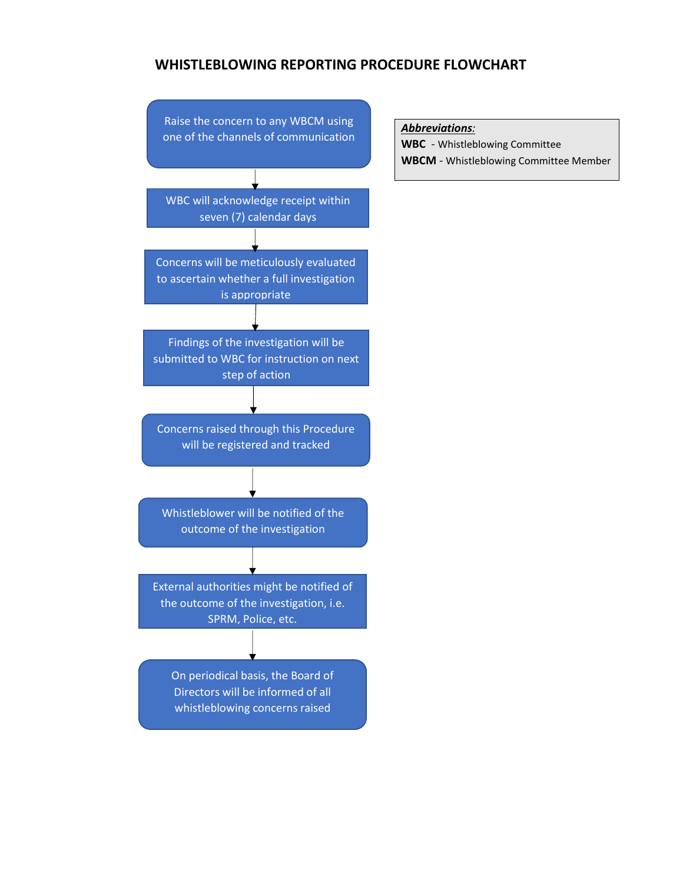#### **WHISTLEBLOWING REPORTING PROCEDURE FLOWCHART**



*Abbreviations:*

**WBC** - Whistleblowing Committee

**WBCM** - Whistleblowing Committee Member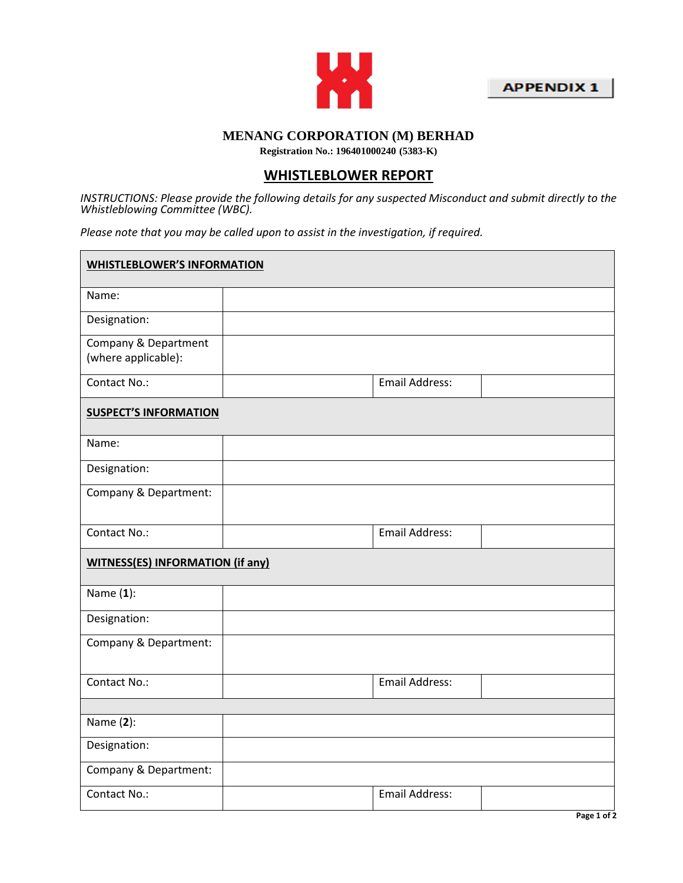



### **MENANG CORPORATION (M) BERHAD**

**Registration No.: 196401000240 (5383-K)**

### **WHISTLEBLOWER REPORT**

*INSTRUCTIONS: Please provide the following details for any suspected Misconduct and submit directly to the Whistleblowing Committee (WBC).* 

*Please note that you may be called upon to assist in the investigation, if required.*

| <b>WHISTLEBLOWER'S INFORMATION</b>          |                       |  |  |  |  |
|---------------------------------------------|-----------------------|--|--|--|--|
| Name:                                       |                       |  |  |  |  |
| Designation:                                |                       |  |  |  |  |
| Company & Department<br>(where applicable): |                       |  |  |  |  |
| Contact No.:                                | <b>Email Address:</b> |  |  |  |  |
| <b>SUSPECT'S INFORMATION</b>                |                       |  |  |  |  |
| Name:                                       |                       |  |  |  |  |
| Designation:                                |                       |  |  |  |  |
| Company & Department:                       |                       |  |  |  |  |
| Contact No.:                                | <b>Email Address:</b> |  |  |  |  |
| <b>WITNESS(ES) INFORMATION (if any)</b>     |                       |  |  |  |  |
| Name $(1)$ :                                |                       |  |  |  |  |
| Designation:                                |                       |  |  |  |  |
| Company & Department:                       |                       |  |  |  |  |
| Contact No.:                                | <b>Email Address:</b> |  |  |  |  |
|                                             |                       |  |  |  |  |
| Name (2):                                   |                       |  |  |  |  |
| Designation:                                |                       |  |  |  |  |
| Company & Department:                       |                       |  |  |  |  |
| Contact No.:                                | <b>Email Address:</b> |  |  |  |  |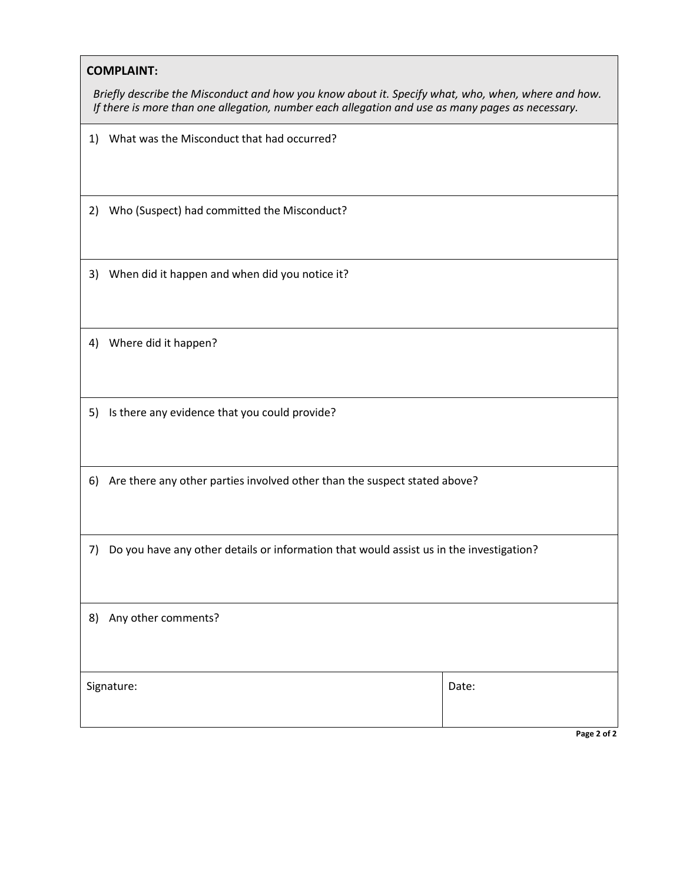#### **COMPLAINT:**

*Briefly describe the Misconduct and how you know about it. Specify what, who, when, where and how. If there is more than one allegation, number each allegation and use as many pages as necessary.*

|  |  |  |  |  | 1) What was the Misconduct that had occurred? |
|--|--|--|--|--|-----------------------------------------------|
|--|--|--|--|--|-----------------------------------------------|

2) Who (Suspect) had committed the Misconduct?

3) When did it happen and when did you notice it?

4) Where did it happen?

5) Is there any evidence that you could provide?

6) Are there any other parties involved other than the suspect stated above?

7) Do you have any other details or information that would assist us in the investigation?

| 8) Any other comments? |       |  |  |  |  |
|------------------------|-------|--|--|--|--|
|                        |       |  |  |  |  |
| Signature:             | Date: |  |  |  |  |
|                        |       |  |  |  |  |

**Page 2 of 2**